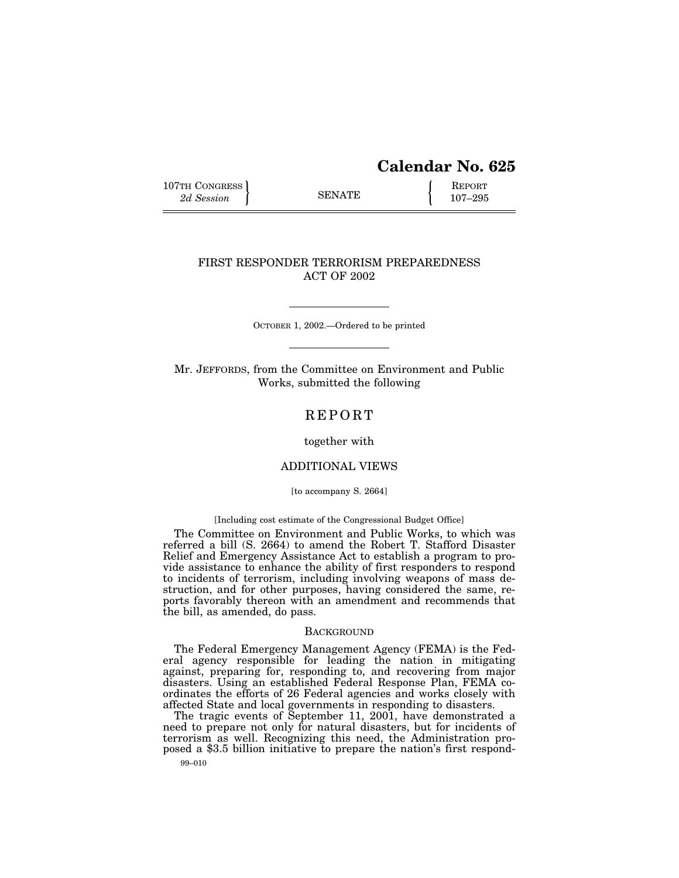# **Calendar No. 625**

107TH CONGRESS REPORT SENATE  $\left\{\begin{array}{c} \text{REPORT} \\ 2d\text{ Session} \end{array}\right\}$ " SENATE ! *2d Session* 107–295

# FIRST RESPONDER TERRORISM PREPAREDNESS ACT OF 2002

OCTOBER 1, 2002.—Ordered to be printed

Mr. JEFFORDS, from the Committee on Environment and Public Works, submitted the following

# **REPORT**

#### together with

# ADDITIONAL VIEWS

#### [to accompany S. 2664]

#### [Including cost estimate of the Congressional Budget Office]

The Committee on Environment and Public Works, to which was referred a bill (S. 2664) to amend the Robert T. Stafford Disaster Relief and Emergency Assistance Act to establish a program to provide assistance to enhance the ability of first responders to respond to incidents of terrorism, including involving weapons of mass destruction, and for other purposes, having considered the same, reports favorably thereon with an amendment and recommends that the bill, as amended, do pass.

#### **BACKGROUND**

The Federal Emergency Management Agency (FEMA) is the Federal agency responsible for leading the nation in mitigating against, preparing for, responding to, and recovering from major disasters. Using an established Federal Response Plan, FEMA coordinates the efforts of 26 Federal agencies and works closely with affected State and local governments in responding to disasters.

The tragic events of September 11, 2001, have demonstrated a need to prepare not only for natural disasters, but for incidents of terrorism as well. Recognizing this need, the Administration proposed a \$3.5 billion initiative to prepare the nation's first respond-

99–010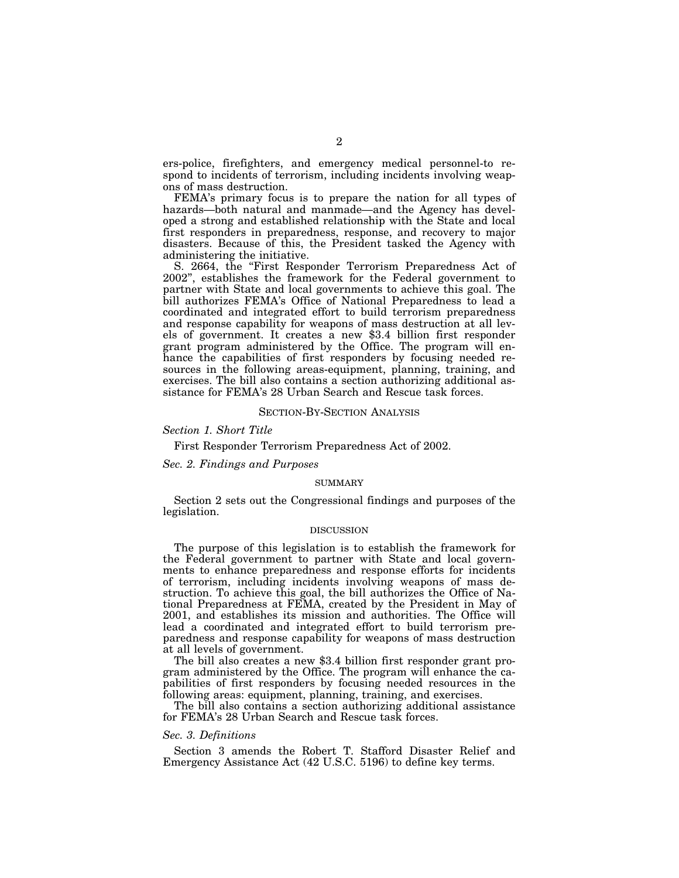ers-police, firefighters, and emergency medical personnel-to respond to incidents of terrorism, including incidents involving weapons of mass destruction.

FEMA's primary focus is to prepare the nation for all types of hazards—both natural and manmade—and the Agency has developed a strong and established relationship with the State and local first responders in preparedness, response, and recovery to major disasters. Because of this, the President tasked the Agency with administering the initiative.

S. 2664, the "First Responder Terrorism Preparedness Act of 2002'', establishes the framework for the Federal government to partner with State and local governments to achieve this goal. The bill authorizes FEMA's Office of National Preparedness to lead a coordinated and integrated effort to build terrorism preparedness and response capability for weapons of mass destruction at all levels of government. It creates a new \$3.4 billion first responder grant program administered by the Office. The program will enhance the capabilities of first responders by focusing needed resources in the following areas-equipment, planning, training, and exercises. The bill also contains a section authorizing additional assistance for FEMA's 28 Urban Search and Rescue task forces.

#### SECTION-BY-SECTION ANALYSIS

*Section 1. Short Title* 

First Responder Terrorism Preparedness Act of 2002.

*Sec. 2. Findings and Purposes* 

#### SUMMARY

Section 2 sets out the Congressional findings and purposes of the legislation.

#### DISCUSSION

The purpose of this legislation is to establish the framework for the Federal government to partner with State and local governments to enhance preparedness and response efforts for incidents of terrorism, including incidents involving weapons of mass destruction. To achieve this goal, the bill authorizes the Office of National Preparedness at FEMA, created by the President in May of 2001, and establishes its mission and authorities. The Office will lead a coordinated and integrated effort to build terrorism preparedness and response capability for weapons of mass destruction at all levels of government.

The bill also creates a new \$3.4 billion first responder grant program administered by the Office. The program will enhance the capabilities of first responders by focusing needed resources in the following areas: equipment, planning, training, and exercises.

The bill also contains a section authorizing additional assistance for FEMA's 28 Urban Search and Rescue task forces.

### *Sec. 3. Definitions*

Section 3 amends the Robert T. Stafford Disaster Relief and Emergency Assistance Act (42 U.S.C. 5196) to define key terms.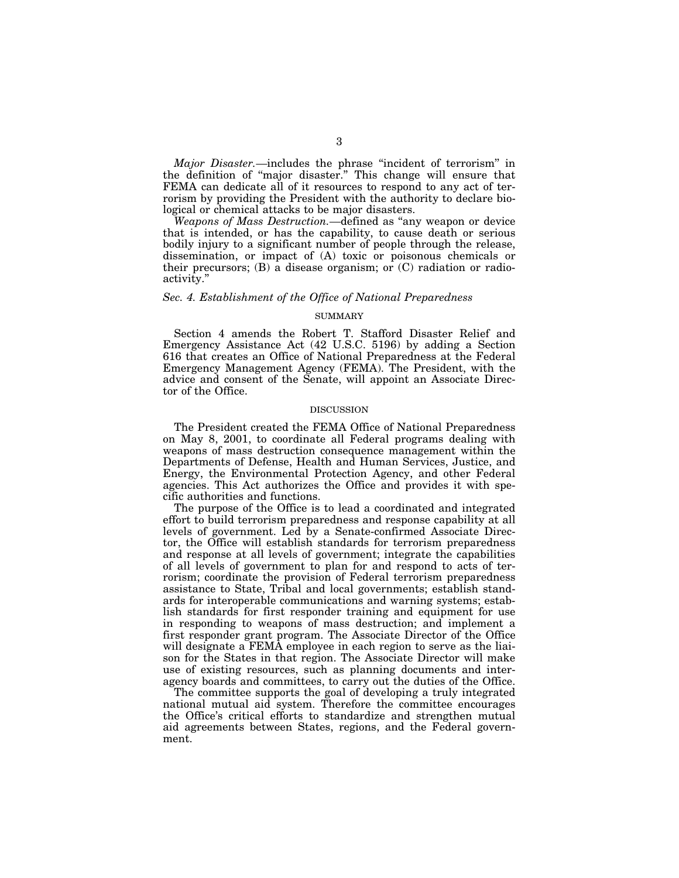*Major Disaster.*—includes the phrase "incident of terrorism" in the definition of ''major disaster.'' This change will ensure that FEMA can dedicate all of it resources to respond to any act of terrorism by providing the President with the authority to declare biological or chemical attacks to be major disasters.

*Weapons of Mass Destruction.—*defined as ''any weapon or device that is intended, or has the capability, to cause death or serious bodily injury to a significant number of people through the release, dissemination, or impact of (A) toxic or poisonous chemicals or their precursors; (B) a disease organism; or  $(C)$  radiation or radioactivity.''

### *Sec. 4. Establishment of the Office of National Preparedness*

### **SUMMARY**

Section 4 amends the Robert T. Stafford Disaster Relief and Emergency Assistance Act (42 U.S.C. 5196) by adding a Section 616 that creates an Office of National Preparedness at the Federal Emergency Management Agency (FEMA). The President, with the advice and consent of the Senate, will appoint an Associate Director of the Office.

### DISCUSSION

The President created the FEMA Office of National Preparedness on May 8, 2001, to coordinate all Federal programs dealing with weapons of mass destruction consequence management within the Departments of Defense, Health and Human Services, Justice, and Energy, the Environmental Protection Agency, and other Federal agencies. This Act authorizes the Office and provides it with specific authorities and functions.

The purpose of the Office is to lead a coordinated and integrated effort to build terrorism preparedness and response capability at all levels of government. Led by a Senate-confirmed Associate Director, the Office will establish standards for terrorism preparedness and response at all levels of government; integrate the capabilities of all levels of government to plan for and respond to acts of terrorism; coordinate the provision of Federal terrorism preparedness assistance to State, Tribal and local governments; establish standards for interoperable communications and warning systems; establish standards for first responder training and equipment for use in responding to weapons of mass destruction; and implement a first responder grant program. The Associate Director of the Office will designate a FEMA employee in each region to serve as the liaison for the States in that region. The Associate Director will make use of existing resources, such as planning documents and interagency boards and committees, to carry out the duties of the Office.

The committee supports the goal of developing a truly integrated national mutual aid system. Therefore the committee encourages the Office's critical efforts to standardize and strengthen mutual aid agreements between States, regions, and the Federal government.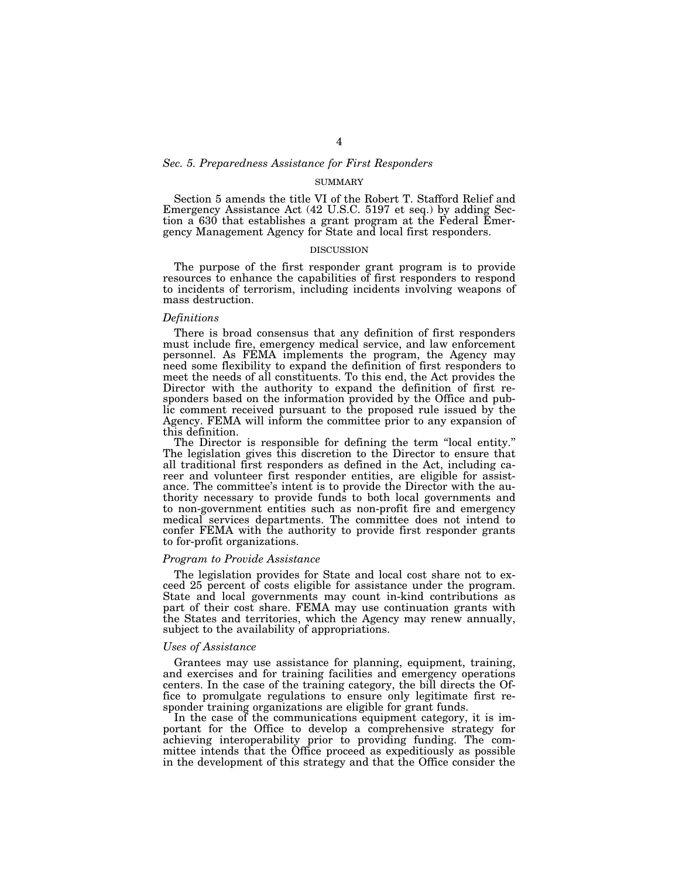### *Sec. 5. Preparedness Assistance for First Responders*

#### SUMMARY

Section 5 amends the title VI of the Robert T. Stafford Relief and Emergency Assistance Act (42 U.S.C. 5197 et seq.) by adding Section a 630 that establishes a grant program at the Federal Emergency Management Agency for State and local first responders.

#### DISCUSSION

The purpose of the first responder grant program is to provide resources to enhance the capabilities of first responders to respond to incidents of terrorism, including incidents involving weapons of mass destruction.

#### *Definitions*

There is broad consensus that any definition of first responders must include fire, emergency medical service, and law enforcement personnel. As FEMA implements the program, the Agency may need some flexibility to expand the definition of first responders to meet the needs of all constituents. To this end, the Act provides the Director with the authority to expand the definition of first responders based on the information provided by the Office and public comment received pursuant to the proposed rule issued by the Agency. FEMA will inform the committee prior to any expansion of this definition.<br>The Director is responsible for defining the term "local entity."

The legislation gives this discretion to the Director to ensure that all traditional first responders as defined in the Act, including career and volunteer first responder entities, are eligible for assistance. The committee's intent is to provide the Director with the authority necessary to provide funds to both local governments and to non-government entities such as non-profit fire and emergency medical services departments. The committee does not intend to confer FEMA with the authority to provide first responder grants to for-profit organizations.

#### *Program to Provide Assistance*

The legislation provides for State and local cost share not to exceed 25 percent of costs eligible for assistance under the program. State and local governments may count in-kind contributions as part of their cost share. FEMA may use continuation grants with the States and territories, which the Agency may renew annually, subject to the availability of appropriations.

#### *Uses of Assistance*

Grantees may use assistance for planning, equipment, training, and exercises and for training facilities and emergency operations centers. In the case of the training category, the bill directs the Office to promulgate regulations to ensure only legitimate first responder training organizations are eligible for grant funds.

In the case of the communications equipment category, it is important for the Office to develop a comprehensive strategy for achieving interoperability prior to providing funding. The committee intends that the Office proceed as expeditiously as possible in the development of this strategy and that the Office consider the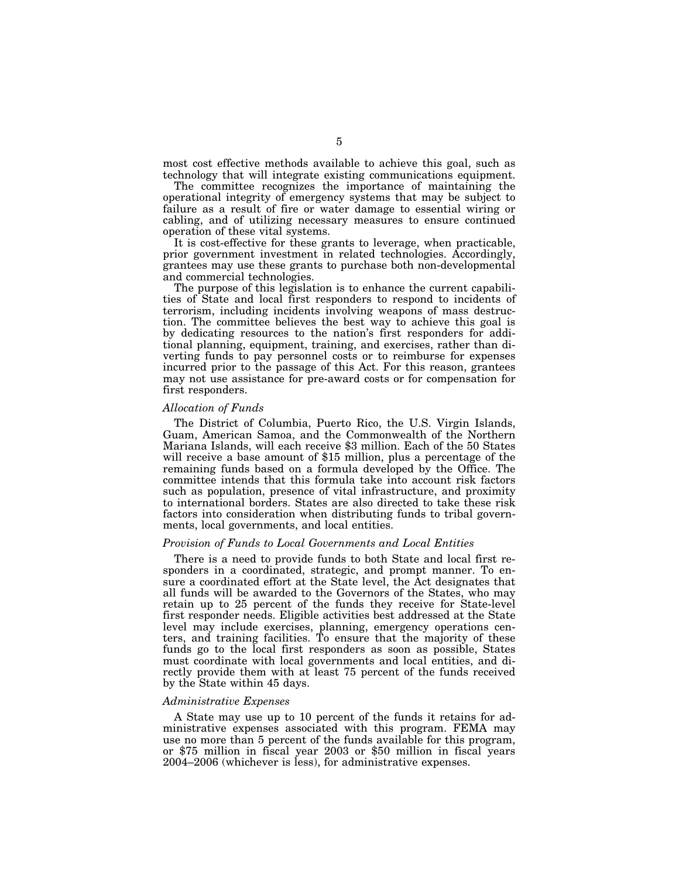most cost effective methods available to achieve this goal, such as technology that will integrate existing communications equipment.

The committee recognizes the importance of maintaining the operational integrity of emergency systems that may be subject to failure as a result of fire or water damage to essential wiring or cabling, and of utilizing necessary measures to ensure continued operation of these vital systems.

It is cost-effective for these grants to leverage, when practicable, prior government investment in related technologies. Accordingly, grantees may use these grants to purchase both non-developmental and commercial technologies.

The purpose of this legislation is to enhance the current capabilities of State and local first responders to respond to incidents of terrorism, including incidents involving weapons of mass destruction. The committee believes the best way to achieve this goal is by dedicating resources to the nation's first responders for additional planning, equipment, training, and exercises, rather than diverting funds to pay personnel costs or to reimburse for expenses incurred prior to the passage of this Act. For this reason, grantees may not use assistance for pre-award costs or for compensation for first responders.

### *Allocation of Funds*

The District of Columbia, Puerto Rico, the U.S. Virgin Islands, Guam, American Samoa, and the Commonwealth of the Northern Mariana Islands, will each receive \$3 million. Each of the 50 States will receive a base amount of \$15 million, plus a percentage of the remaining funds based on a formula developed by the Office. The committee intends that this formula take into account risk factors such as population, presence of vital infrastructure, and proximity to international borders. States are also directed to take these risk factors into consideration when distributing funds to tribal governments, local governments, and local entities.

### *Provision of Funds to Local Governments and Local Entities*

There is a need to provide funds to both State and local first responders in a coordinated, strategic, and prompt manner. To ensure a coordinated effort at the State level, the Act designates that all funds will be awarded to the Governors of the States, who may retain up to 25 percent of the funds they receive for State-level first responder needs. Eligible activities best addressed at the State level may include exercises, planning, emergency operations centers, and training facilities. To ensure that the majority of these funds go to the local first responders as soon as possible, States must coordinate with local governments and local entities, and directly provide them with at least 75 percent of the funds received by the State within 45 days.

#### *Administrative Expenses*

A State may use up to 10 percent of the funds it retains for administrative expenses associated with this program. FEMA may use no more than 5 percent of the funds available for this program, or \$75 million in fiscal year 2003 or \$50 million in fiscal years 2004–2006 (whichever is less), for administrative expenses.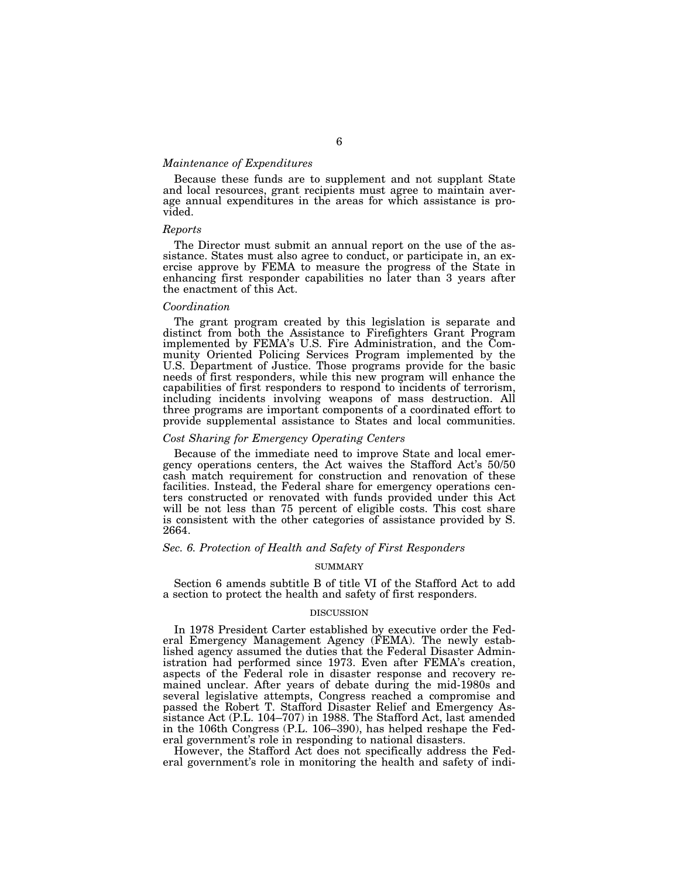#### *Maintenance of Expenditures*

Because these funds are to supplement and not supplant State and local resources, grant recipients must agree to maintain average annual expenditures in the areas for which assistance is provided.

## *Reports*

The Director must submit an annual report on the use of the assistance. States must also agree to conduct, or participate in, an exercise approve by FEMA to measure the progress of the State in enhancing first responder capabilities no later than 3 years after the enactment of this Act.

#### *Coordination*

The grant program created by this legislation is separate and distinct from both the Assistance to Firefighters Grant Program implemented by FEMA's U.S. Fire Administration, and the Community Oriented Policing Services Program implemented by the U.S. Department of Justice. Those programs provide for the basic needs of first responders, while this new program will enhance the capabilities of first responders to respond to incidents of terrorism, including incidents involving weapons of mass destruction. All three programs are important components of a coordinated effort to provide supplemental assistance to States and local communities.

### *Cost Sharing for Emergency Operating Centers*

Because of the immediate need to improve State and local emergency operations centers, the Act waives the Stafford Act's 50/50 cash match requirement for construction and renovation of these facilities. Instead, the Federal share for emergency operations centers constructed or renovated with funds provided under this Act will be not less than 75 percent of eligible costs. This cost share is consistent with the other categories of assistance provided by S. 2664.

### *Sec. 6. Protection of Health and Safety of First Responders*

#### SUMMARY

Section 6 amends subtitle B of title VI of the Stafford Act to add a section to protect the health and safety of first responders.

### DISCUSSION

In 1978 President Carter established by executive order the Federal Emergency Management Agency (FEMA). The newly established agency assumed the duties that the Federal Disaster Administration had performed since 1973. Even after FEMA's creation, aspects of the Federal role in disaster response and recovery remained unclear. After years of debate during the mid-1980s and several legislative attempts, Congress reached a compromise and passed the Robert T. Stafford Disaster Relief and Emergency Assistance Act (P.L. 104–707) in 1988. The Stafford Act, last amended in the 106th Congress (P.L. 106–390), has helped reshape the Federal government's role in responding to national disasters.

However, the Stafford Act does not specifically address the Federal government's role in monitoring the health and safety of indi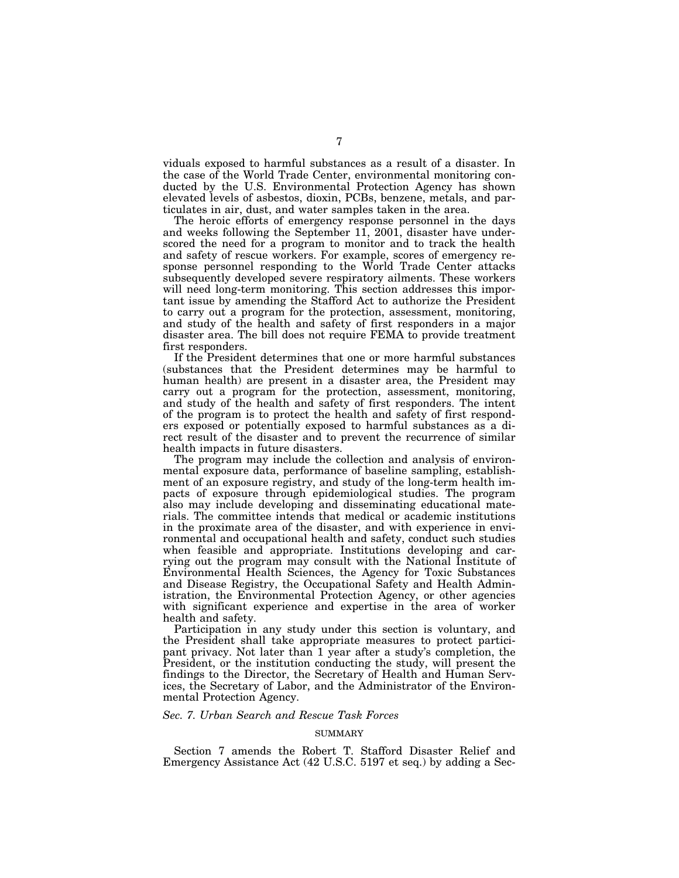viduals exposed to harmful substances as a result of a disaster. In the case of the World Trade Center, environmental monitoring conducted by the U.S. Environmental Protection Agency has shown elevated levels of asbestos, dioxin, PCBs, benzene, metals, and particulates in air, dust, and water samples taken in the area.

The heroic efforts of emergency response personnel in the days and weeks following the September 11, 2001, disaster have underscored the need for a program to monitor and to track the health and safety of rescue workers. For example, scores of emergency response personnel responding to the World Trade Center attacks subsequently developed severe respiratory ailments. These workers will need long-term monitoring. This section addresses this important issue by amending the Stafford Act to authorize the President to carry out a program for the protection, assessment, monitoring, and study of the health and safety of first responders in a major disaster area. The bill does not require FEMA to provide treatment first responders.

If the President determines that one or more harmful substances (substances that the President determines may be harmful to human health) are present in a disaster area, the President may carry out a program for the protection, assessment, monitoring, and study of the health and safety of first responders. The intent of the program is to protect the health and safety of first responders exposed or potentially exposed to harmful substances as a direct result of the disaster and to prevent the recurrence of similar health impacts in future disasters.

The program may include the collection and analysis of environmental exposure data, performance of baseline sampling, establishment of an exposure registry, and study of the long-term health impacts of exposure through epidemiological studies. The program also may include developing and disseminating educational materials. The committee intends that medical or academic institutions in the proximate area of the disaster, and with experience in environmental and occupational health and safety, conduct such studies when feasible and appropriate. Institutions developing and carrying out the program may consult with the National Institute of Environmental Health Sciences, the Agency for Toxic Substances and Disease Registry, the Occupational Safety and Health Administration, the Environmental Protection Agency, or other agencies with significant experience and expertise in the area of worker health and safety.

Participation in any study under this section is voluntary, and the President shall take appropriate measures to protect participant privacy. Not later than 1 year after a study's completion, the President, or the institution conducting the study, will present the findings to the Director, the Secretary of Health and Human Services, the Secretary of Labor, and the Administrator of the Environmental Protection Agency.

#### *Sec. 7. Urban Search and Rescue Task Forces*

#### SUMMARY

Section 7 amends the Robert T. Stafford Disaster Relief and Emergency Assistance Act (42 U.S.C. 5197 et seq.) by adding a Sec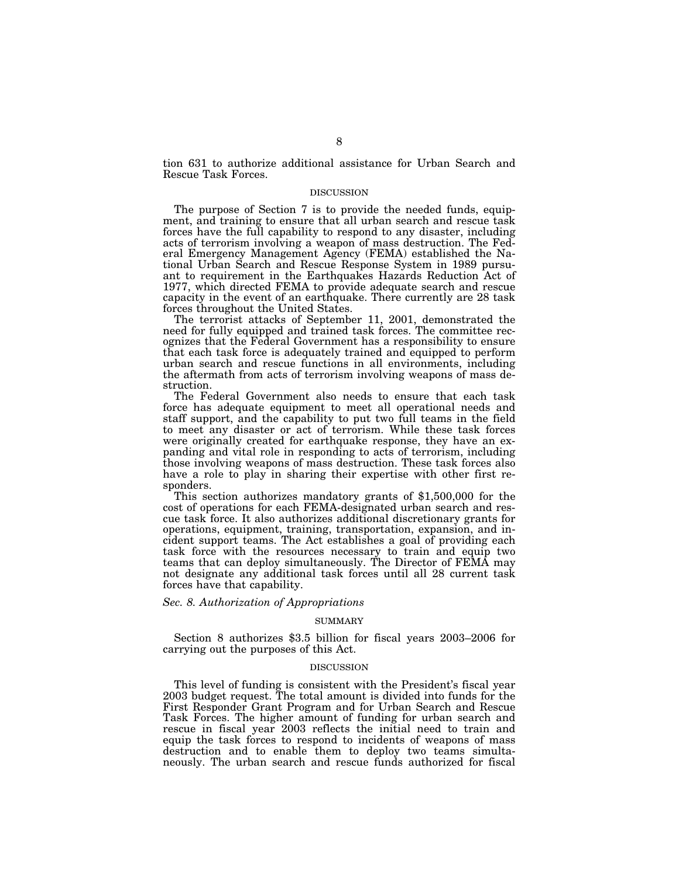tion 631 to authorize additional assistance for Urban Search and Rescue Task Forces.

#### DISCUSSION

The purpose of Section 7 is to provide the needed funds, equipment, and training to ensure that all urban search and rescue task forces have the full capability to respond to any disaster, including acts of terrorism involving a weapon of mass destruction. The Federal Emergency Management Agency (FEMA) established the National Urban Search and Rescue Response System in 1989 pursuant to requirement in the Earthquakes Hazards Reduction Act of 1977, which directed FEMA to provide adequate search and rescue capacity in the event of an earthquake. There currently are 28 task forces throughout the United States.

The terrorist attacks of September 11, 2001, demonstrated the need for fully equipped and trained task forces. The committee recognizes that the Federal Government has a responsibility to ensure that each task force is adequately trained and equipped to perform urban search and rescue functions in all environments, including the aftermath from acts of terrorism involving weapons of mass destruction.

The Federal Government also needs to ensure that each task force has adequate equipment to meet all operational needs and staff support, and the capability to put two full teams in the field to meet any disaster or act of terrorism. While these task forces were originally created for earthquake response, they have an expanding and vital role in responding to acts of terrorism, including those involving weapons of mass destruction. These task forces also have a role to play in sharing their expertise with other first responders.

This section authorizes mandatory grants of \$1,500,000 for the cost of operations for each FEMA-designated urban search and rescue task force. It also authorizes additional discretionary grants for operations, equipment, training, transportation, expansion, and incident support teams. The Act establishes a goal of providing each task force with the resources necessary to train and equip two teams that can deploy simultaneously. The Director of FEMA may not designate any additional task forces until all 28 current task forces have that capability.

### *Sec. 8. Authorization of Appropriations*

#### SUMMARY

Section 8 authorizes \$3.5 billion for fiscal years 2003–2006 for carrying out the purposes of this Act.

#### DISCUSSION

This level of funding is consistent with the President's fiscal year 2003 budget request. The total amount is divided into funds for the First Responder Grant Program and for Urban Search and Rescue Task Forces. The higher amount of funding for urban search and rescue in fiscal year 2003 reflects the initial need to train and equip the task forces to respond to incidents of weapons of mass destruction and to enable them to deploy two teams simultaneously. The urban search and rescue funds authorized for fiscal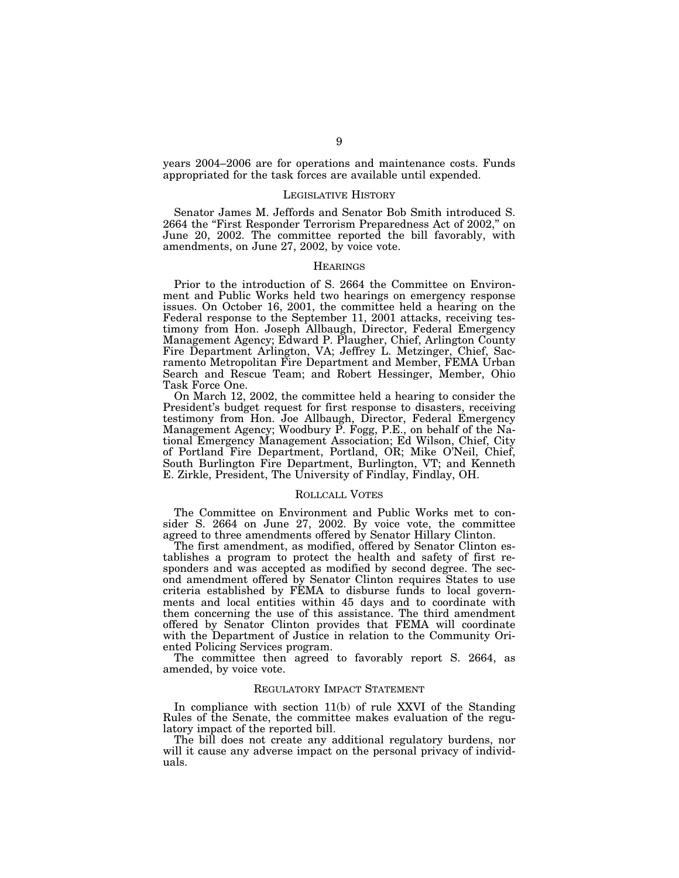years 2004–2006 are for operations and maintenance costs. Funds appropriated for the task forces are available until expended.

#### LEGISLATIVE HISTORY

Senator James M. Jeffords and Senator Bob Smith introduced S. 2664 the "First Responder Terrorism Preparedness Act of 2002," on June 20, 2002. The committee reported the bill favorably, with amendments, on June 27, 2002, by voice vote.

### **HEARINGS**

Prior to the introduction of S. 2664 the Committee on Environment and Public Works held two hearings on emergency response issues. On October 16, 2001, the committee held a hearing on the Federal response to the September 11, 2001 attacks, receiving testimony from Hon. Joseph Allbaugh, Director, Federal Emergency Management Agency; Edward P. Plaugher, Chief, Arlington County Fire Department Arlington, VA; Jeffrey L. Metzinger, Chief, Sacramento Metropolitan Fire Department and Member, FEMA Urban Search and Rescue Team; and Robert Hessinger, Member, Ohio Task Force One.

On March 12, 2002, the committee held a hearing to consider the President's budget request for first response to disasters, receiving testimony from Hon. Joe Allbaugh, Director, Federal Emergency Management Agency; Woodbury P. Fogg, P.E., on behalf of the National Emergency Management Association; Ed Wilson, Chief, City of Portland Fire Department, Portland, OR; Mike O'Neil, Chief, South Burlington Fire Department, Burlington, VT; and Kenneth E. Zirkle, President, The University of Findlay, Findlay, OH.

#### ROLLCALL VOTES

The Committee on Environment and Public Works met to consider S. 2664 on June 27, 2002. By voice vote, the committee agreed to three amendments offered by Senator Hillary Clinton.

The first amendment, as modified, offered by Senator Clinton establishes a program to protect the health and safety of first responders and was accepted as modified by second degree. The second amendment offered by Senator Clinton requires States to use criteria established by FEMA to disburse funds to local governments and local entities within 45 days and to coordinate with them concerning the use of this assistance. The third amendment offered by Senator Clinton provides that FEMA will coordinate with the Department of Justice in relation to the Community Oriented Policing Services program.

The committee then agreed to favorably report S. 2664, as amended, by voice vote.

#### REGULATORY IMPACT STATEMENT

In compliance with section 11(b) of rule XXVI of the Standing Rules of the Senate, the committee makes evaluation of the regulatory impact of the reported bill.

The bill does not create any additional regulatory burdens, nor will it cause any adverse impact on the personal privacy of individuals.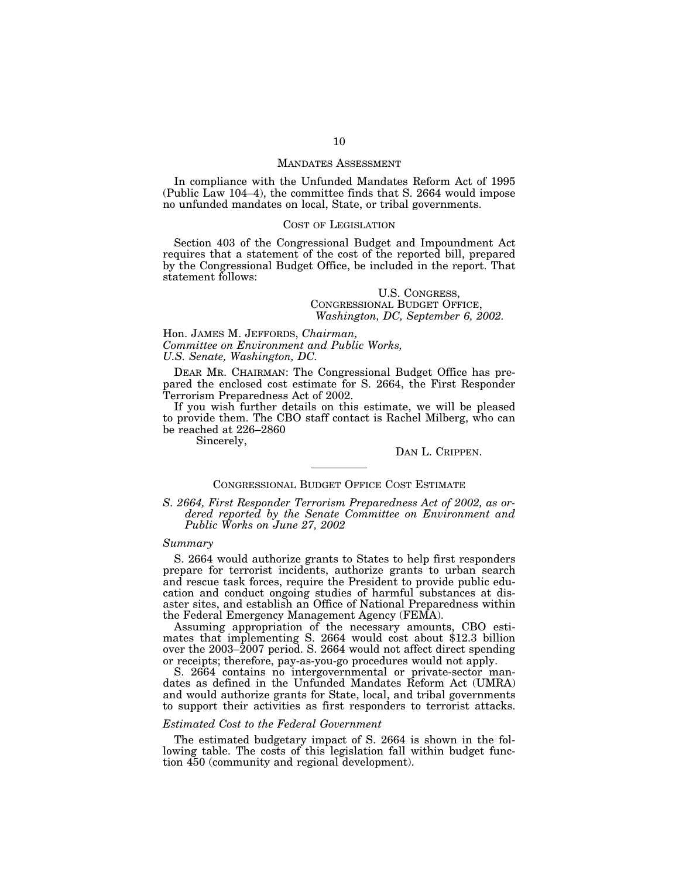#### MANDATES ASSESSMENT

In compliance with the Unfunded Mandates Reform Act of 1995 (Public Law 104–4), the committee finds that S. 2664 would impose no unfunded mandates on local, State, or tribal governments.

### COST OF LEGISLATION

Section 403 of the Congressional Budget and Impoundment Act requires that a statement of the cost of the reported bill, prepared by the Congressional Budget Office, be included in the report. That statement follows:

### U.S. CONGRESS, CONGRESSIONAL BUDGET OFFICE, *Washington, DC, September 6, 2002.*

Hon. JAMES M. JEFFORDS, *Chairman, Committee on Environment and Public Works, U.S. Senate, Washington, DC.*

DEAR MR. CHAIRMAN: The Congressional Budget Office has prepared the enclosed cost estimate for S. 2664, the First Responder Terrorism Preparedness Act of 2002.

If you wish further details on this estimate, we will be pleased to provide them. The CBO staff contact is Rachel Milberg, who can be reached at 226–2860

Sincerely,

# DAN L. CRIPPEN.

### CONGRESSIONAL BUDGET OFFICE COST ESTIMATE

*S. 2664, First Responder Terrorism Preparedness Act of 2002, as ordered reported by the Senate Committee on Environment and Public Works on June 27, 2002*

#### *Summary*

S. 2664 would authorize grants to States to help first responders prepare for terrorist incidents, authorize grants to urban search and rescue task forces, require the President to provide public education and conduct ongoing studies of harmful substances at disaster sites, and establish an Office of National Preparedness within the Federal Emergency Management Agency (FEMA).

Assuming appropriation of the necessary amounts, CBO estimates that implementing S. 2664 would cost about \$12.3 billion over the 2003–2007 period. S. 2664 would not affect direct spending or receipts; therefore, pay-as-you-go procedures would not apply.

S. 2664 contains no intergovernmental or private-sector mandates as defined in the Unfunded Mandates Reform Act (UMRA) and would authorize grants for State, local, and tribal governments to support their activities as first responders to terrorist attacks.

### *Estimated Cost to the Federal Government*

The estimated budgetary impact of S. 2664 is shown in the following table. The costs of this legislation fall within budget function 450 (community and regional development).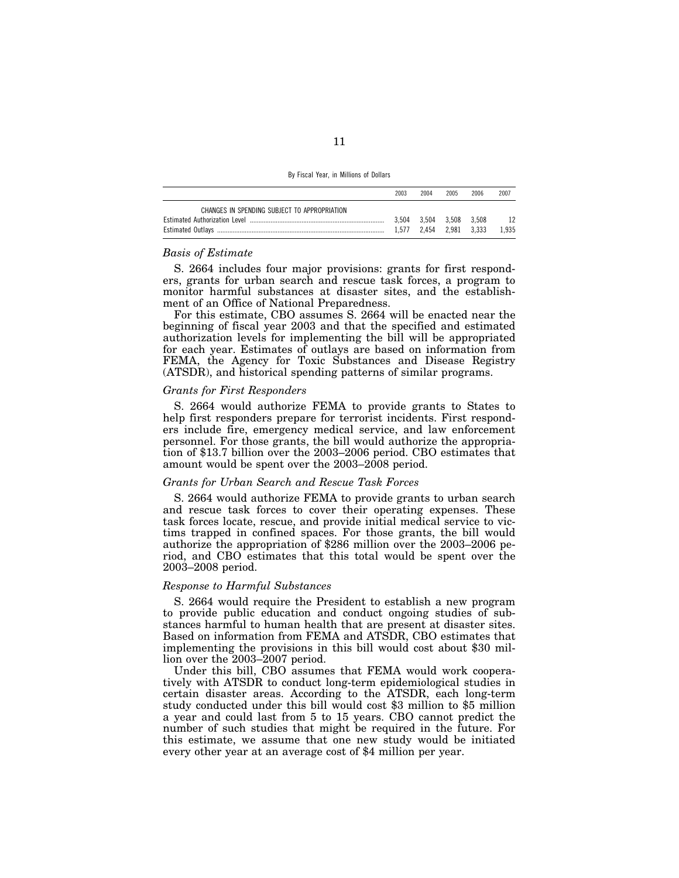|                                              | 2003 | 2004                    | 2005 | 2006 | 2007  |
|----------------------------------------------|------|-------------------------|------|------|-------|
| CHANGES IN SPENDING SUBJECT TO APPROPRIATION |      |                         |      |      |       |
|                                              |      | 3.504 3.504 3.508 3.508 |      |      | 12    |
|                                              |      | 1.577 2.454 2.981 3.333 |      |      | 1.935 |

### *Basis of Estimate*

S. 2664 includes four major provisions: grants for first responders, grants for urban search and rescue task forces, a program to monitor harmful substances at disaster sites, and the establishment of an Office of National Preparedness.

For this estimate, CBO assumes S. 2664 will be enacted near the beginning of fiscal year 2003 and that the specified and estimated authorization levels for implementing the bill will be appropriated for each year. Estimates of outlays are based on information from FEMA, the Agency for Toxic Substances and Disease Registry (ATSDR), and historical spending patterns of similar programs.

### *Grants for First Responders*

S. 2664 would authorize FEMA to provide grants to States to help first responders prepare for terrorist incidents. First responders include fire, emergency medical service, and law enforcement personnel. For those grants, the bill would authorize the appropriation of \$13.7 billion over the 2003–2006 period. CBO estimates that amount would be spent over the 2003–2008 period.

#### *Grants for Urban Search and Rescue Task Forces*

S. 2664 would authorize FEMA to provide grants to urban search and rescue task forces to cover their operating expenses. These task forces locate, rescue, and provide initial medical service to victims trapped in confined spaces. For those grants, the bill would authorize the appropriation of \$286 million over the 2003–2006 period, and CBO estimates that this total would be spent over the 2003–2008 period.

### *Response to Harmful Substances*

S. 2664 would require the President to establish a new program to provide public education and conduct ongoing studies of substances harmful to human health that are present at disaster sites. Based on information from FEMA and ATSDR, CBO estimates that implementing the provisions in this bill would cost about \$30 million over the 2003–2007 period.

Under this bill, CBO assumes that FEMA would work cooperatively with ATSDR to conduct long-term epidemiological studies in certain disaster areas. According to the ATSDR, each long-term study conducted under this bill would cost \$3 million to \$5 million a year and could last from 5 to 15 years. CBO cannot predict the number of such studies that might be required in the future. For this estimate, we assume that one new study would be initiated every other year at an average cost of \$4 million per year.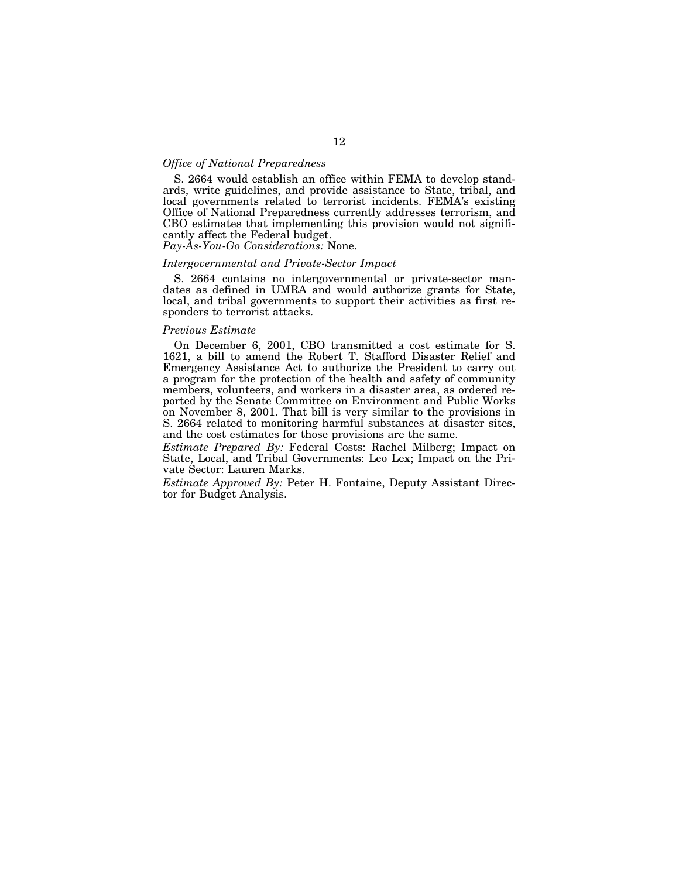# *Office of National Preparedness*

S. 2664 would establish an office within FEMA to develop standards, write guidelines, and provide assistance to State, tribal, and local governments related to terrorist incidents. FEMA's existing Office of National Preparedness currently addresses terrorism, and CBO estimates that implementing this provision would not significantly affect the Federal budget.

*Pay-As-You-Go Considerations:* None.

### *Intergovernmental and Private-Sector Impact*

S. 2664 contains no intergovernmental or private-sector mandates as defined in UMRA and would authorize grants for State, local, and tribal governments to support their activities as first responders to terrorist attacks.

#### *Previous Estimate*

On December 6, 2001, CBO transmitted a cost estimate for S. 1621, a bill to amend the Robert T. Stafford Disaster Relief and Emergency Assistance Act to authorize the President to carry out a program for the protection of the health and safety of community members, volunteers, and workers in a disaster area, as ordered reported by the Senate Committee on Environment and Public Works on November 8, 2001. That bill is very similar to the provisions in S. 2664 related to monitoring harmful substances at disaster sites, and the cost estimates for those provisions are the same.

*Estimate Prepared By:* Federal Costs: Rachel Milberg; Impact on State, Local, and Tribal Governments: Leo Lex; Impact on the Private Sector: Lauren Marks.

*Estimate Approved By:* Peter H. Fontaine, Deputy Assistant Director for Budget Analysis.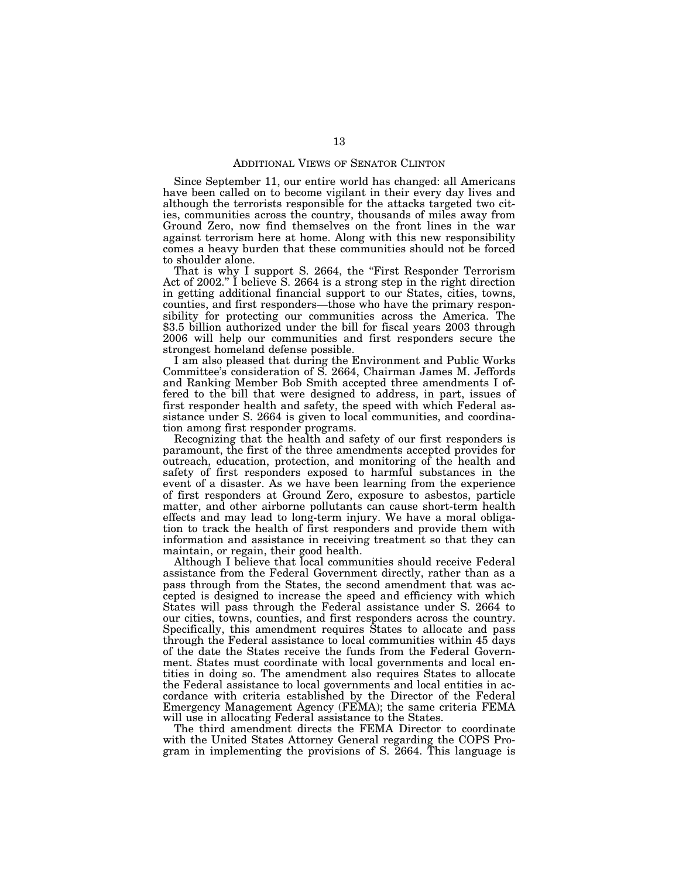#### ADDITIONAL VIEWS OF SENATOR CLINTON

Since September 11, our entire world has changed: all Americans have been called on to become vigilant in their every day lives and although the terrorists responsible for the attacks targeted two cities, communities across the country, thousands of miles away from Ground Zero, now find themselves on the front lines in the war against terrorism here at home. Along with this new responsibility comes a heavy burden that these communities should not be forced to shoulder alone.

That is why I support S. 2664, the "First Responder Terrorism" Act of 2002.'' I believe S. 2664 is a strong step in the right direction in getting additional financial support to our States, cities, towns, counties, and first responders—those who have the primary responsibility for protecting our communities across the America. The \$3.5 billion authorized under the bill for fiscal years 2003 through 2006 will help our communities and first responders secure the strongest homeland defense possible.

I am also pleased that during the Environment and Public Works Committee's consideration of S. 2664, Chairman James M. Jeffords and Ranking Member Bob Smith accepted three amendments I offered to the bill that were designed to address, in part, issues of first responder health and safety, the speed with which Federal assistance under S. 2664 is given to local communities, and coordination among first responder programs.

Recognizing that the health and safety of our first responders is paramount, the first of the three amendments accepted provides for outreach, education, protection, and monitoring of the health and safety of first responders exposed to harmful substances in the event of a disaster. As we have been learning from the experience of first responders at Ground Zero, exposure to asbestos, particle matter, and other airborne pollutants can cause short-term health effects and may lead to long-term injury. We have a moral obligation to track the health of first responders and provide them with information and assistance in receiving treatment so that they can maintain, or regain, their good health.

Although I believe that local communities should receive Federal assistance from the Federal Government directly, rather than as a pass through from the States, the second amendment that was accepted is designed to increase the speed and efficiency with which States will pass through the Federal assistance under S. 2664 to our cities, towns, counties, and first responders across the country. Specifically, this amendment requires States to allocate and pass through the Federal assistance to local communities within 45 days of the date the States receive the funds from the Federal Government. States must coordinate with local governments and local entities in doing so. The amendment also requires States to allocate the Federal assistance to local governments and local entities in accordance with criteria established by the Director of the Federal Emergency Management Agency (FEMA); the same criteria FEMA will use in allocating Federal assistance to the States.

The third amendment directs the FEMA Director to coordinate with the United States Attorney General regarding the COPS Program in implementing the provisions of S. 2664. This language is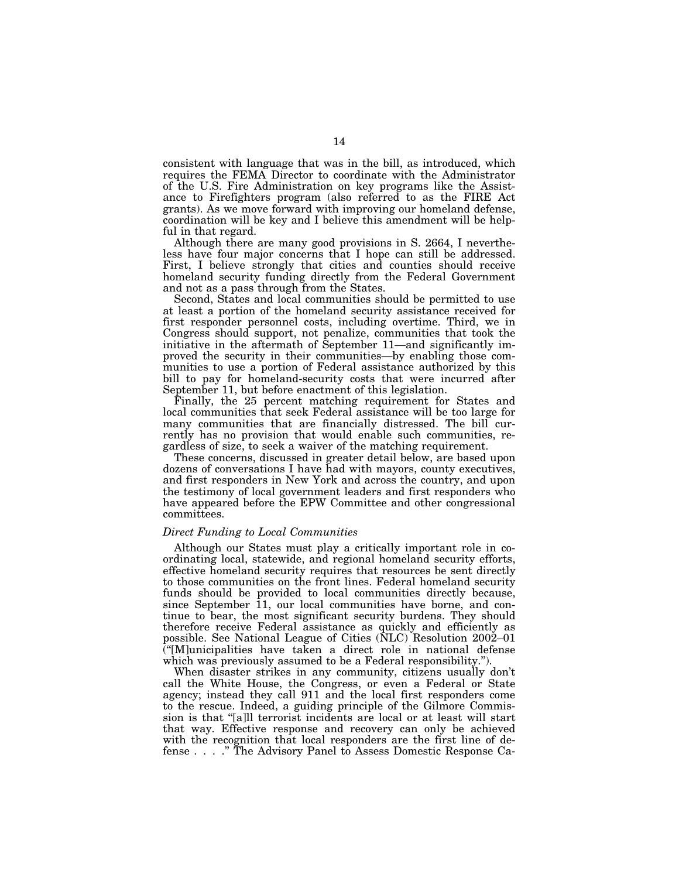consistent with language that was in the bill, as introduced, which requires the FEMA Director to coordinate with the Administrator of the U.S. Fire Administration on key programs like the Assistance to Firefighters program (also referred to as the FIRE Act grants). As we move forward with improving our homeland defense, coordination will be key and I believe this amendment will be helpful in that regard.

Although there are many good provisions in S. 2664, I nevertheless have four major concerns that I hope can still be addressed. First, I believe strongly that cities and counties should receive homeland security funding directly from the Federal Government and not as a pass through from the States.

Second, States and local communities should be permitted to use at least a portion of the homeland security assistance received for first responder personnel costs, including overtime. Third, we in Congress should support, not penalize, communities that took the initiative in the aftermath of September 11—and significantly improved the security in their communities—by enabling those communities to use a portion of Federal assistance authorized by this bill to pay for homeland-security costs that were incurred after September 11, but before enactment of this legislation.

Finally, the 25 percent matching requirement for States and local communities that seek Federal assistance will be too large for many communities that are financially distressed. The bill currently has no provision that would enable such communities, regardless of size, to seek a waiver of the matching requirement.

These concerns, discussed in greater detail below, are based upon dozens of conversations I have had with mayors, county executives, and first responders in New York and across the country, and upon the testimony of local government leaders and first responders who have appeared before the EPW Committee and other congressional committees.

### *Direct Funding to Local Communities*

Although our States must play a critically important role in coordinating local, statewide, and regional homeland security efforts, effective homeland security requires that resources be sent directly to those communities on the front lines. Federal homeland security funds should be provided to local communities directly because, since September 11, our local communities have borne, and continue to bear, the most significant security burdens. They should therefore receive Federal assistance as quickly and efficiently as possible. See National League of Cities (NLC) Resolution 2002–01 (''[M]unicipalities have taken a direct role in national defense which was previously assumed to be a Federal responsibility.'').

When disaster strikes in any community, citizens usually don't call the White House, the Congress, or even a Federal or State agency; instead they call 911 and the local first responders come to the rescue. Indeed, a guiding principle of the Gilmore Commission is that ''[a]ll terrorist incidents are local or at least will start that way. Effective response and recovery can only be achieved with the recognition that local responders are the first line of defense ....'' The Advisory Panel to Assess Domestic Response Ca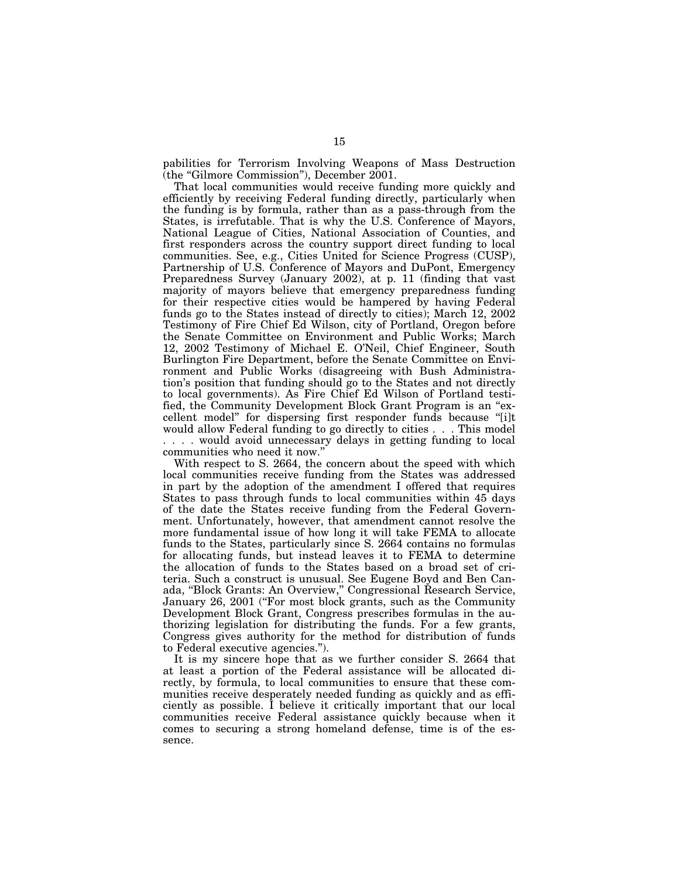pabilities for Terrorism Involving Weapons of Mass Destruction (the ''Gilmore Commission''), December 2001.

That local communities would receive funding more quickly and efficiently by receiving Federal funding directly, particularly when the funding is by formula, rather than as a pass-through from the States, is irrefutable. That is why the U.S. Conference of Mayors, National League of Cities, National Association of Counties, and first responders across the country support direct funding to local communities. See, e.g., Cities United for Science Progress (CUSP), Partnership of U.S. Conference of Mayors and DuPont, Emergency Preparedness Survey (January 2002), at p. 11 (finding that vast majority of mayors believe that emergency preparedness funding for their respective cities would be hampered by having Federal funds go to the States instead of directly to cities); March 12, 2002 Testimony of Fire Chief Ed Wilson, city of Portland, Oregon before the Senate Committee on Environment and Public Works; March 12, 2002 Testimony of Michael E. O'Neil, Chief Engineer, South Burlington Fire Department, before the Senate Committee on Environment and Public Works (disagreeing with Bush Administration's position that funding should go to the States and not directly to local governments). As Fire Chief Ed Wilson of Portland testified, the Community Development Block Grant Program is an "excellent model'' for dispersing first responder funds because ''[i]t would allow Federal funding to go directly to cities . . . This model . . . . would avoid unnecessary delays in getting funding to local communities who need it now.''

With respect to S. 2664, the concern about the speed with which local communities receive funding from the States was addressed in part by the adoption of the amendment I offered that requires States to pass through funds to local communities within 45 days of the date the States receive funding from the Federal Government. Unfortunately, however, that amendment cannot resolve the more fundamental issue of how long it will take FEMA to allocate funds to the States, particularly since S. 2664 contains no formulas for allocating funds, but instead leaves it to FEMA to determine the allocation of funds to the States based on a broad set of criteria. Such a construct is unusual. See Eugene Boyd and Ben Canada, ''Block Grants: An Overview,'' Congressional Research Service, January 26, 2001 ("For most block grants, such as the Community Development Block Grant, Congress prescribes formulas in the authorizing legislation for distributing the funds. For a few grants, Congress gives authority for the method for distribution of funds to Federal executive agencies.'').

It is my sincere hope that as we further consider S. 2664 that at least a portion of the Federal assistance will be allocated directly, by formula, to local communities to ensure that these communities receive desperately needed funding as quickly and as efficiently as possible. I believe it critically important that our local communities receive Federal assistance quickly because when it comes to securing a strong homeland defense, time is of the essence.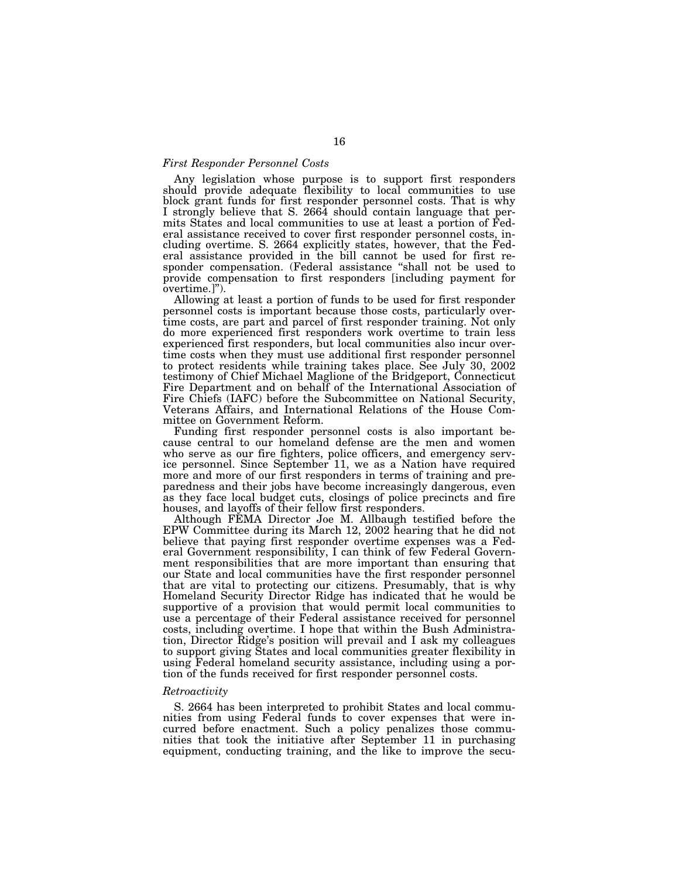### *First Responder Personnel Costs*

Any legislation whose purpose is to support first responders should provide adequate flexibility to local communities to use block grant funds for first responder personnel costs. That is why I strongly believe that S. 2664 should contain language that permits States and local communities to use at least a portion of Federal assistance received to cover first responder personnel costs, including overtime. S. 2664 explicitly states, however, that the Federal assistance provided in the bill cannot be used for first responder compensation. (Federal assistance ''shall not be used to provide compensation to first responders [including payment for overtime.]'').

Allowing at least a portion of funds to be used for first responder personnel costs is important because those costs, particularly overtime costs, are part and parcel of first responder training. Not only do more experienced first responders work overtime to train less experienced first responders, but local communities also incur overtime costs when they must use additional first responder personnel to protect residents while training takes place. See July 30, 2002 testimony of Chief Michael Maglione of the Bridgeport, Connecticut Fire Department and on behalf of the International Association of Fire Chiefs (IAFC) before the Subcommittee on National Security, Veterans Affairs, and International Relations of the House Committee on Government Reform.

Funding first responder personnel costs is also important because central to our homeland defense are the men and women who serve as our fire fighters, police officers, and emergency service personnel. Since September 11, we as a Nation have required more and more of our first responders in terms of training and preparedness and their jobs have become increasingly dangerous, even as they face local budget cuts, closings of police precincts and fire houses, and layoffs of their fellow first responders.

Although FEMA Director Joe M. Allbaugh testified before the EPW Committee during its March 12, 2002 hearing that he did not believe that paying first responder overtime expenses was a Federal Government responsibility, I can think of few Federal Government responsibilities that are more important than ensuring that our State and local communities have the first responder personnel that are vital to protecting our citizens. Presumably, that is why Homeland Security Director Ridge has indicated that he would be supportive of a provision that would permit local communities to use a percentage of their Federal assistance received for personnel costs, including overtime. I hope that within the Bush Administration, Director Ridge's position will prevail and I ask my colleagues to support giving States and local communities greater flexibility in using Federal homeland security assistance, including using a portion of the funds received for first responder personnel costs.

#### *Retroactivity*

S. 2664 has been interpreted to prohibit States and local communities from using Federal funds to cover expenses that were incurred before enactment. Such a policy penalizes those communities that took the initiative after September 11 in purchasing equipment, conducting training, and the like to improve the secu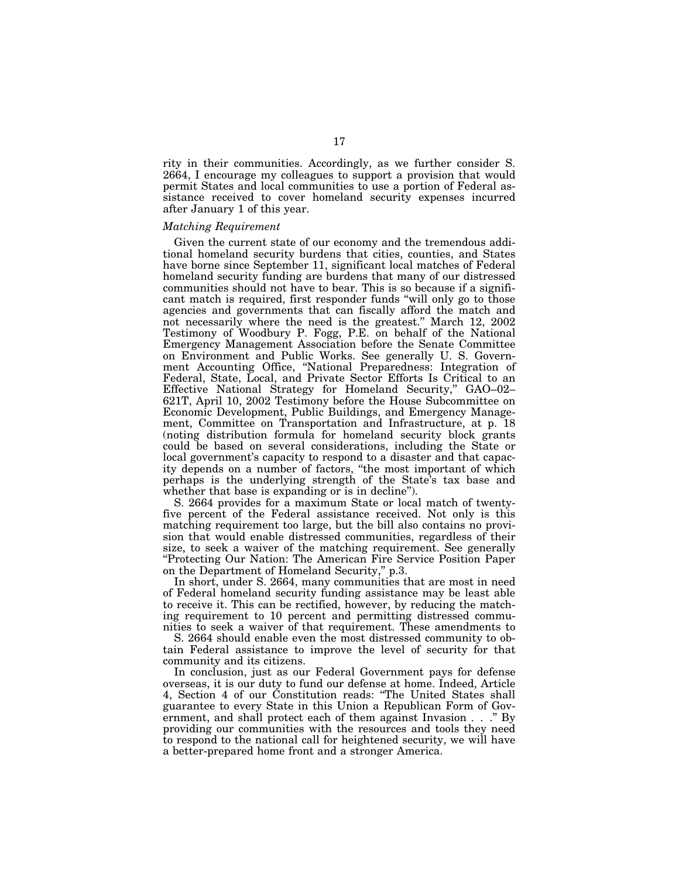rity in their communities. Accordingly, as we further consider S. 2664, I encourage my colleagues to support a provision that would permit States and local communities to use a portion of Federal assistance received to cover homeland security expenses incurred after January 1 of this year.

### *Matching Requirement*

Given the current state of our economy and the tremendous additional homeland security burdens that cities, counties, and States have borne since September 11, significant local matches of Federal homeland security funding are burdens that many of our distressed communities should not have to bear. This is so because if a significant match is required, first responder funds ''will only go to those agencies and governments that can fiscally afford the match and not necessarily where the need is the greatest.'' March 12, 2002 Testimony of Woodbury P. Fogg, P.E. on behalf of the National Emergency Management Association before the Senate Committee on Environment and Public Works. See generally U. S. Government Accounting Office, ''National Preparedness: Integration of Federal, State, Local, and Private Sector Efforts Is Critical to an Effective National Strategy for Homeland Security,'' GAO–02– 621T, April 10, 2002 Testimony before the House Subcommittee on Economic Development, Public Buildings, and Emergency Management, Committee on Transportation and Infrastructure, at p. 18 (noting distribution formula for homeland security block grants could be based on several considerations, including the State or local government's capacity to respond to a disaster and that capacity depends on a number of factors, ''the most important of which perhaps is the underlying strength of the State's tax base and whether that base is expanding or is in decline".

S. 2664 provides for a maximum State or local match of twentyfive percent of the Federal assistance received. Not only is this matching requirement too large, but the bill also contains no provision that would enable distressed communities, regardless of their size, to seek a waiver of the matching requirement. See generally ''Protecting Our Nation: The American Fire Service Position Paper on the Department of Homeland Security,'' p.3.

In short, under S. 2664, many communities that are most in need of Federal homeland security funding assistance may be least able to receive it. This can be rectified, however, by reducing the matching requirement to 10 percent and permitting distressed communities to seek a waiver of that requirement. These amendments to

S. 2664 should enable even the most distressed community to obtain Federal assistance to improve the level of security for that community and its citizens.

In conclusion, just as our Federal Government pays for defense overseas, it is our duty to fund our defense at home. Indeed, Article 4, Section 4 of our Constitution reads: ''The United States shall guarantee to every State in this Union a Republican Form of Government, and shall protect each of them against Invasion . . .'' By providing our communities with the resources and tools they need to respond to the national call for heightened security, we will have a better-prepared home front and a stronger America.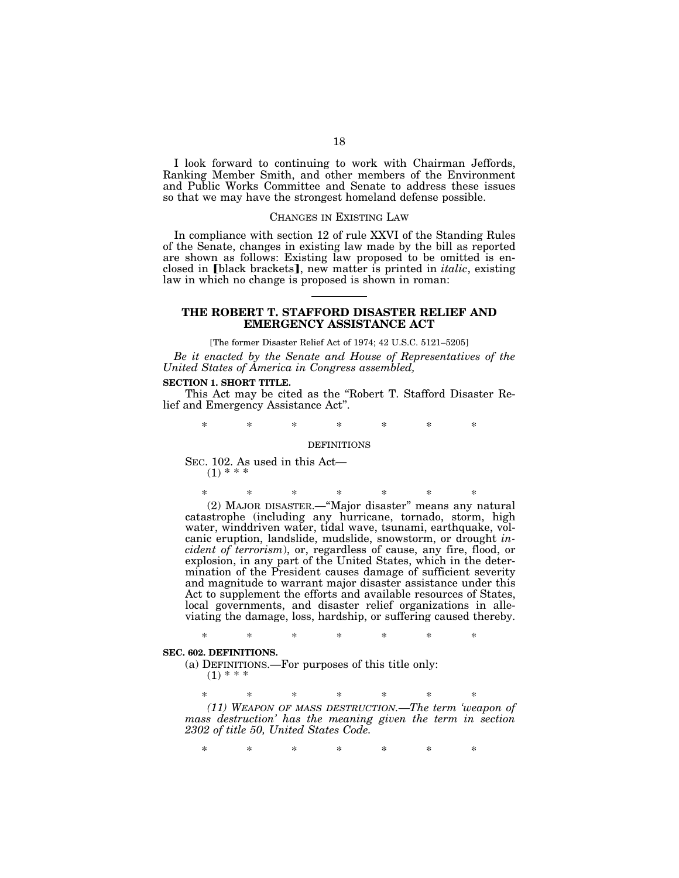I look forward to continuing to work with Chairman Jeffords, Ranking Member Smith, and other members of the Environment and Public Works Committee and Senate to address these issues so that we may have the strongest homeland defense possible.

#### CHANGES IN EXISTING LAW

In compliance with section 12 of rule XXVI of the Standing Rules of the Senate, changes in existing law made by the bill as reported are shown as follows: Existing law proposed to be omitted is enclosed in [black brackets], new matter is printed in *italic*, existing law in which no change is proposed is shown in roman:

### **THE ROBERT T. STAFFORD DISASTER RELIEF AND EMERGENCY ASSISTANCE ACT**

[The former Disaster Relief Act of 1974; 42 U.S.C. 5121–5205] *Be it enacted by the Senate and House of Representatives of the United States of America in Congress assembled,*

### **SECTION 1. SHORT TITLE.**

This Act may be cited as the ''Robert T. Stafford Disaster Relief and Emergency Assistance Act''.

\* \* \* \* \* \* \*

### DEFINITIONS

SEC. 102. As used in this Act—  $(1) * * * *$ 

\* \* \* \* \* \* \* (2) MAJOR DISASTER.—''Major disaster'' means any natural catastrophe (including any hurricane, tornado, storm, high water, winddriven water, tidal wave, tsunami, earthquake, volcanic eruption, landslide, mudslide, snowstorm, or drought *incident of terrorism*), or, regardless of cause, any fire, flood, or explosion, in any part of the United States, which in the determination of the President causes damage of sufficient severity and magnitude to warrant major disaster assistance under this Act to supplement the efforts and available resources of States, local governments, and disaster relief organizations in alleviating the damage, loss, hardship, or suffering caused thereby.

\* \* \* \* \* \* \*

### **SEC. 602. DEFINITIONS.**

(a) DEFINITIONS.—For purposes of this title only:  $(1)$  \* \* \*

\* \* \* \* \* \* \*

*(11) WEAPON OF MASS DESTRUCTION.—The term 'weapon of mass destruction' has the meaning given the term in section 2302 of title 50, United States Code.* 

\* \* \* \* \* \* \*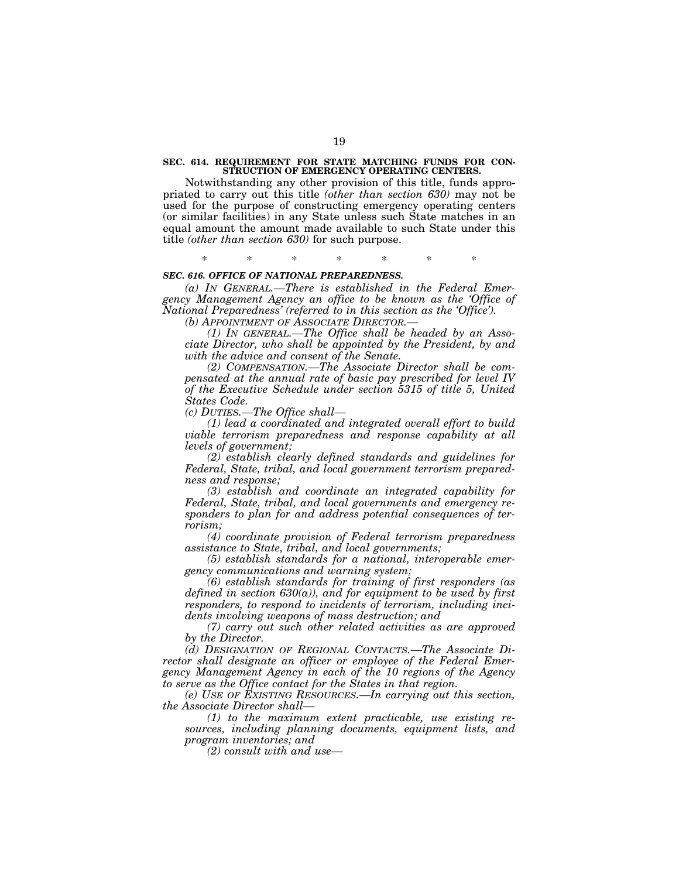#### **SEC. 614. REQUIREMENT FOR STATE MATCHING FUNDS FOR CON-STRUCTION OF EMERGENCY OPERATING CENTERS.**

Notwithstanding any other provision of this title, funds appropriated to carry out this title *(other than section 630)* may not be used for the purpose of constructing emergency operating centers (or similar facilities) in any State unless such State matches in an equal amount the amount made available to such State under this title *(other than section 630)* for such purpose.

\* \* \* \* \* \* \*

# *SEC. 616. OFFICE OF NATIONAL PREPAREDNESS.*

*(a) IN GENERAL.—There is established in the Federal Emergency Management Agency an office to be known as the 'Office of National Preparedness' (referred to in this section as the 'Office').* 

*(b) APPOINTMENT OF ASSOCIATE DIRECTOR.—*

*(1) IN GENERAL.—The Office shall be headed by an Associate Director, who shall be appointed by the President, by and with the advice and consent of the Senate.* 

*(2) COMPENSATION.—The Associate Director shall be compensated at the annual rate of basic pay prescribed for level IV of the Executive Schedule under section 5315 of title 5, United States Code.* 

*(c) DUTIES.—The Office shall—*

*(1) lead a coordinated and integrated overall effort to build viable terrorism preparedness and response capability at all levels of government;* 

*(2) establish clearly defined standards and guidelines for Federal, State, tribal, and local government terrorism preparedness and response;* 

*(3) establish and coordinate an integrated capability for Federal, State, tribal, and local governments and emergency responders to plan for and address potential consequences of terrorism;* 

*(4) coordinate provision of Federal terrorism preparedness assistance to State, tribal, and local governments;* 

*(5) establish standards for a national, interoperable emergency communications and warning system;* 

*(6) establish standards for training of first responders (as defined in section 630(a)), and for equipment to be used by first responders, to respond to incidents of terrorism, including incidents involving weapons of mass destruction; and* 

*(7) carry out such other related activities as are approved by the Director.* 

*(d) DESIGNATION OF REGIONAL CONTACTS.—The Associate Director shall designate an officer or employee of the Federal Emergency Management Agency in each of the 10 regions of the Agency to serve as the Office contact for the States in that region.* 

*(e) USE OF EXISTING RESOURCES.—In carrying out this section, the Associate Director shall—*

*(1) to the maximum extent practicable, use existing resources, including planning documents, equipment lists, and program inventories; and* 

*(2) consult with and use—*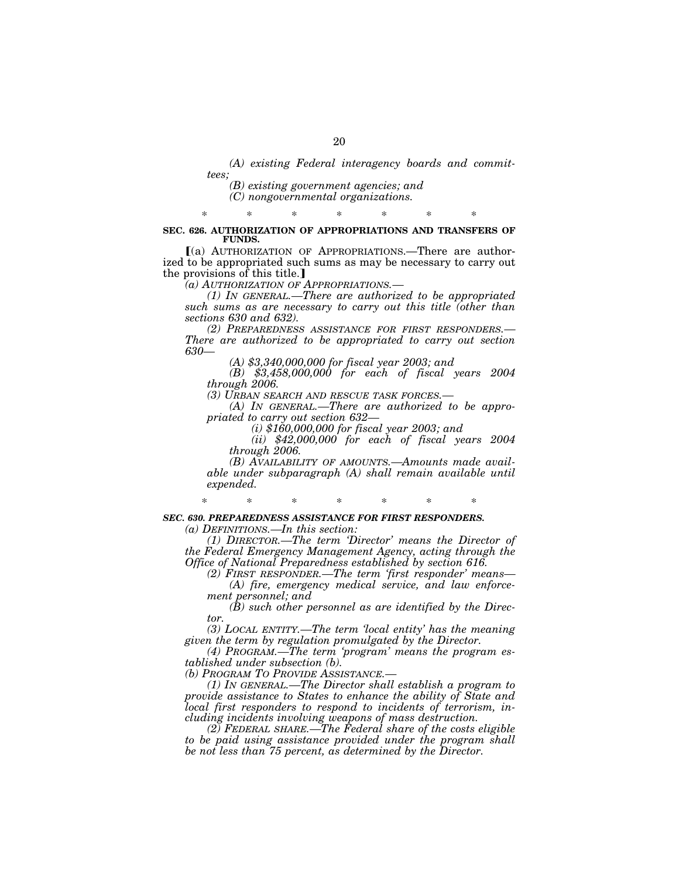*(A) existing Federal interagency boards and committees;* 

*(B) existing government agencies; and* 

*(C) nongovernmental organizations.* 

### \* \* \* \* \* \* \* **SEC. 626. AUTHORIZATION OF APPROPRIATIONS AND TRANSFERS OF FUNDS.**

ø(a) AUTHORIZATION OF APPROPRIATIONS.—There are authorized to be appropriated such sums as may be necessary to carry out the provisions of this title.

*(a) AUTHORIZATION OF APPROPRIATIONS.—*

*(1) IN GENERAL.—There are authorized to be appropriated such sums as are necessary to carry out this title (other than sections 630 and 632).* 

*(2) PREPAREDNESS ASSISTANCE FOR FIRST RESPONDERS.— There are authorized to be appropriated to carry out section 630—*

*(A) \$3,340,000,000 for fiscal year 2003; and* 

*(B) \$3,458,000,000 for each of fiscal years 2004 through 2006.* 

*(3) URBAN SEARCH AND RESCUE TASK FORCES.—*

*(A) IN GENERAL.—There are authorized to be appropriated to carry out section 632—*

*(i) \$160,000,000 for fiscal year 2003; and* 

*(ii) \$42,000,000 for each of fiscal years 2004 through 2006.* 

*(B) AVAILABILITY OF AMOUNTS.—Amounts made available under subparagraph (A) shall remain available until expended.* 

*SEC. 630. PREPAREDNESS ASSISTANCE FOR FIRST RESPONDERS.* 

\* \* \* \* \* \* \*

*(a) DEFINITIONS.—In this section:* 

*(1) DIRECTOR.—The term 'Director' means the Director of the Federal Emergency Management Agency, acting through the Office of National Preparedness established by section 616.* 

*(2) FIRST RESPONDER.—The term 'first responder' means— (A) fire, emergency medical service, and law enforcement personnel; and* 

*(B) such other personnel as are identified by the Director.* 

*(3) LOCAL ENTITY.—The term 'local entity' has the meaning given the term by regulation promulgated by the Director.* 

*(4) PROGRAM.—The term 'program' means the program established under subsection (b).* 

*(b) PROGRAM TO PROVIDE ASSISTANCE.—*

*(1) IN GENERAL.—The Director shall establish a program to provide assistance to States to enhance the ability of State and local first responders to respond to incidents of terrorism, including incidents involving weapons of mass destruction.* 

*(2) FEDERAL SHARE.—The Federal share of the costs eligible to be paid using assistance provided under the program shall be not less than 75 percent, as determined by the Director.*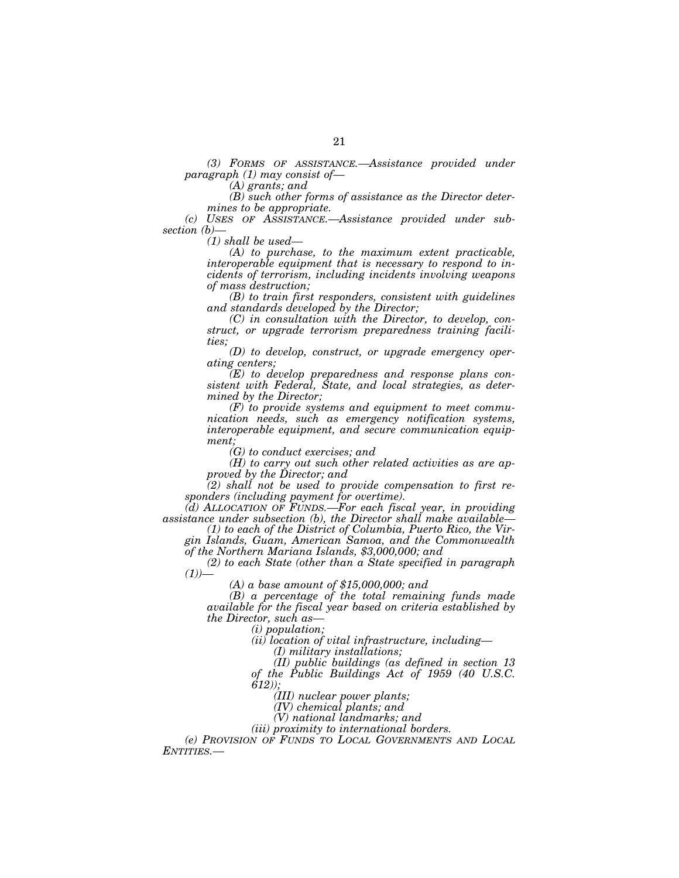*(3) FORMS OF ASSISTANCE.—Assistance provided under paragraph (1) may consist of— (A) grants; and* 

*(B) such other forms of assistance as the Director determines to be appropriate.* 

*(c) USES OF ASSISTANCE.—Assistance provided under subsection (b)—*

*(1) shall be used— (A) to purchase, to the maximum extent practicable, interoperable equipment that is necessary to respond to incidents of terrorism, including incidents involving weapons of mass destruction;* 

*(B) to train first responders, consistent with guidelines and standards developed by the Director;* 

*(C) in consultation with the Director, to develop, construct, or upgrade terrorism preparedness training facilities;* 

*(D) to develop, construct, or upgrade emergency operating centers;* 

*(E) to develop preparedness and response plans consistent with Federal, State, and local strategies, as determined by the Director;* 

*(F) to provide systems and equipment to meet communication needs, such as emergency notification systems, interoperable equipment, and secure communication equipment;* 

*(G) to conduct exercises; and* 

*(H) to carry out such other related activities as are approved by the Director; and* 

*(2) shall not be used to provide compensation to first responders (including payment for overtime).* 

*(d) ALLOCATION OF FUNDS.—For each fiscal year, in providing assistance under subsection (b), the Director shall make available— (1) to each of the District of Columbia, Puerto Rico, the Vir-*

*gin Islands, Guam, American Samoa, and the Commonwealth of the Northern Mariana Islands, \$3,000,000; and* 

*(2) to each State (other than a State specified in paragraph (1))— (A) a base amount of \$15,000,000; and* 

*(B) a percentage of the total remaining funds made available for the fiscal year based on criteria established by the Director, such as— (i) population;* 

*(ii) location of vital infrastructure, including— (I) military installations;* 

*(II) public buildings (as defined in section 13 of the Public Buildings Act of 1959 (40 U.S.C. 612));* 

*(III) nuclear power plants;* 

*(IV) chemical plants; and* 

*(V) national landmarks; and* 

*(iii) proximity to international borders.* 

*(e) PROVISION OF FUNDS TO LOCAL GOVERNMENTS AND LOCAL ENTITIES.—*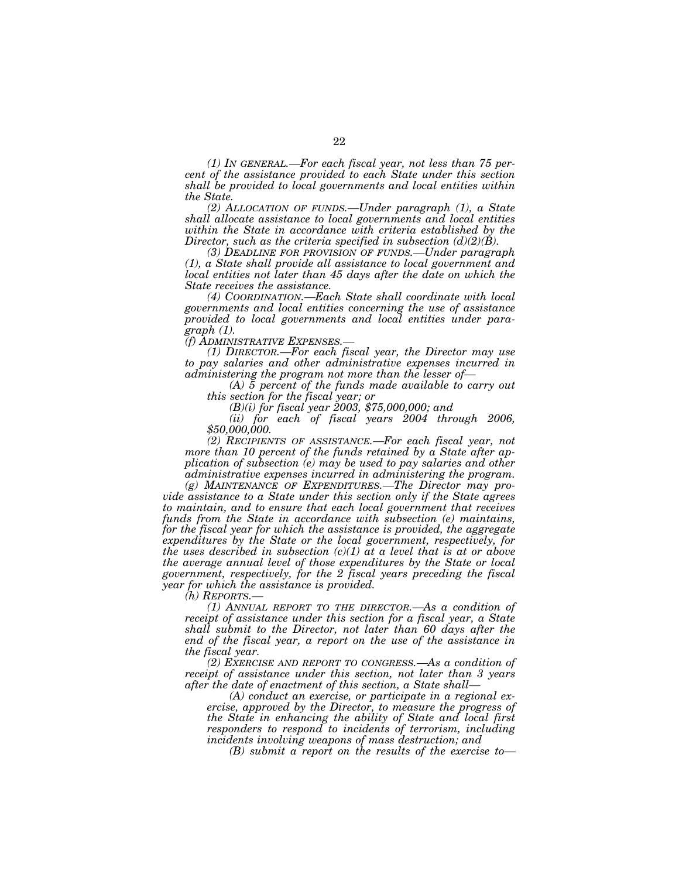*(1) IN GENERAL.—For each fiscal year, not less than 75 percent of the assistance provided to each State under this section shall be provided to local governments and local entities within the State.* 

*(2) ALLOCATION OF FUNDS.—Under paragraph (1), a State shall allocate assistance to local governments and local entities within the State in accordance with criteria established by the Director, such as the criteria specified in subsection (d)(2)(B).* 

*(3) DEADLINE FOR PROVISION OF FUNDS.—Under paragraph (1), a State shall provide all assistance to local government and local entities not later than 45 days after the date on which the State receives the assistance.* 

*(4) COORDINATION.—Each State shall coordinate with local governments and local entities concerning the use of assistance provided to local governments and local entities under paragraph (1).* 

*(1) DIRECTOR.—For each fiscal year, the Director may use to pay salaries and other administrative expenses incurred in* 

*administering the program of the funds made available to carry out this section for the fiscal year; or* 

 $b(n)$  *(B)(i) for fiscal year 2003, \$75,000,000; and* 

*(ii) for each of fiscal years 2004 through 2006, \$50,000,000.* 

*(2) RECIPIENTS OF ASSISTANCE.—For each fiscal year, not more than 10 percent of the funds retained by a State after application of subsection (e) may be used to pay salaries and other administrative expenses incurred in administering the program.* 

*(g) MAINTENANCE OF EXPENDITURES.—The Director may provide assistance to a State under this section only if the State agrees to maintain, and to ensure that each local government that receives funds from the State in accordance with subsection (e) maintains, for the fiscal year for which the assistance is provided, the aggregate expenditures by the State or the local government, respectively, for the uses described in subsection (c)(1) at a level that is at or above the average annual level of those expenditures by the State or local government, respectively, for the 2 fiscal years preceding the fiscal year for which the assistance is provided.* 

*(h) REPORTS.—*

*(1) ANNUAL REPORT TO THE DIRECTOR.—As a condition of receipt of assistance under this section for a fiscal year, a State shall submit to the Director, not later than 60 days after the end of the fiscal year, a report on the use of the assistance in the fiscal year.* 

*(2) EXERCISE AND REPORT TO CONGRESS.—As a condition of receipt of assistance under this section, not later than 3 years after the date of enactment of this section, a State shall—*

*(A) conduct an exercise, or participate in a regional exercise, approved by the Director, to measure the progress of the State in enhancing the ability of State and local first responders to respond to incidents of terrorism, including incidents involving weapons of mass destruction; and* 

*(B) submit a report on the results of the exercise to—*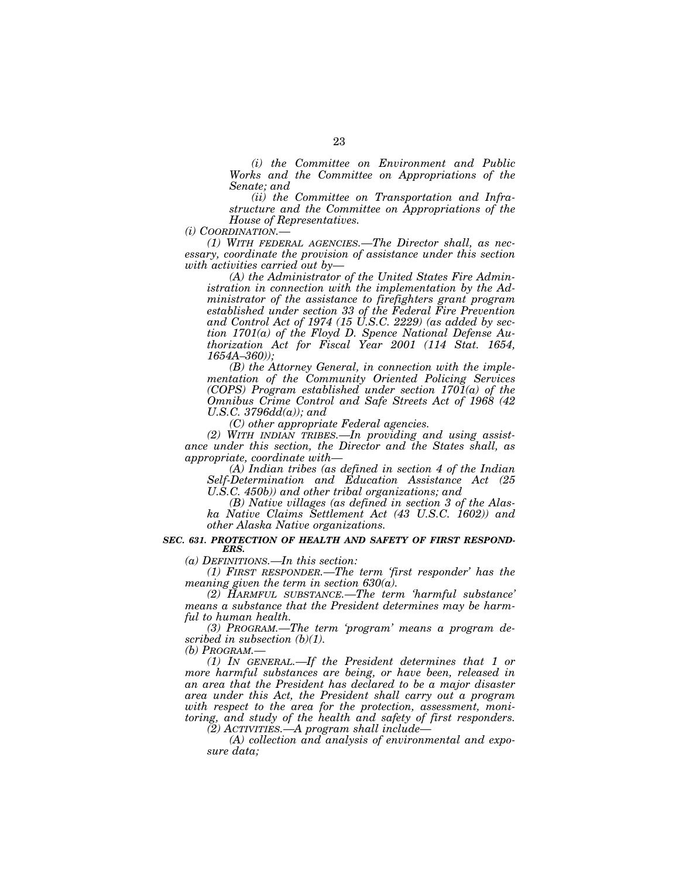*(i) the Committee on Environment and Public Works and the Committee on Appropriations of the Senate; and* 

*(ii) the Committee on Transportation and Infrastructure and the Committee on Appropriations of the House of Representatives.* 

*(i) COORDINATION.—*

*(1) WITH FEDERAL AGENCIES.—The Director shall, as necessary, coordinate the provision of assistance under this section with activities carried out by—*

*(A) the Administrator of the United States Fire Administration in connection with the implementation by the Administrator of the assistance to firefighters grant program established under section 33 of the Federal Fire Prevention and Control Act of 1974 (15 U.S.C. 2229) (as added by section 1701(a) of the Floyd D. Spence National Defense Authorization Act for Fiscal Year 2001 (114 Stat. 1654, 1654A–360));* 

*(B) the Attorney General, in connection with the implementation of the Community Oriented Policing Services (COPS) Program established under section 1701(a) of the Omnibus Crime Control and Safe Streets Act of 1968 (42 U.S.C. 3796dd(a)); and* 

*(C) other appropriate Federal agencies.* 

*(2) WITH INDIAN TRIBES.—In providing and using assistance under this section, the Director and the States shall, as appropriate, coordinate with—*

*(A) Indian tribes (as defined in section 4 of the Indian Self-Determination and Education Assistance Act (25 U.S.C. 450b)) and other tribal organizations; and* 

*(B) Native villages (as defined in section 3 of the Alaska Native Claims Settlement Act (43 U.S.C. 1602)) and other Alaska Native organizations.* 

#### *SEC. 631. PROTECTION OF HEALTH AND SAFETY OF FIRST RESPOND-ERS.*

*(a) DEFINITIONS.—In this section:* 

*(1) FIRST RESPONDER.—The term 'first responder' has the meaning given the term in section 630(a).* 

*(2) HARMFUL SUBSTANCE.—The term 'harmful substance' means a substance that the President determines may be harmful to human health.* 

*(3) PROGRAM.—The term 'program' means a program described in subsection (b)(1).* 

*(b) PROGRAM.—*

*(1) IN GENERAL.—If the President determines that 1 or more harmful substances are being, or have been, released in an area that the President has declared to be a major disaster area under this Act, the President shall carry out a program with respect to the area for the protection, assessment, monitoring, and study of the health and safety of first responders.* 

*(2) ACTIVITIES.—A program shall include—*

*(A) collection and analysis of environmental and exposure data;*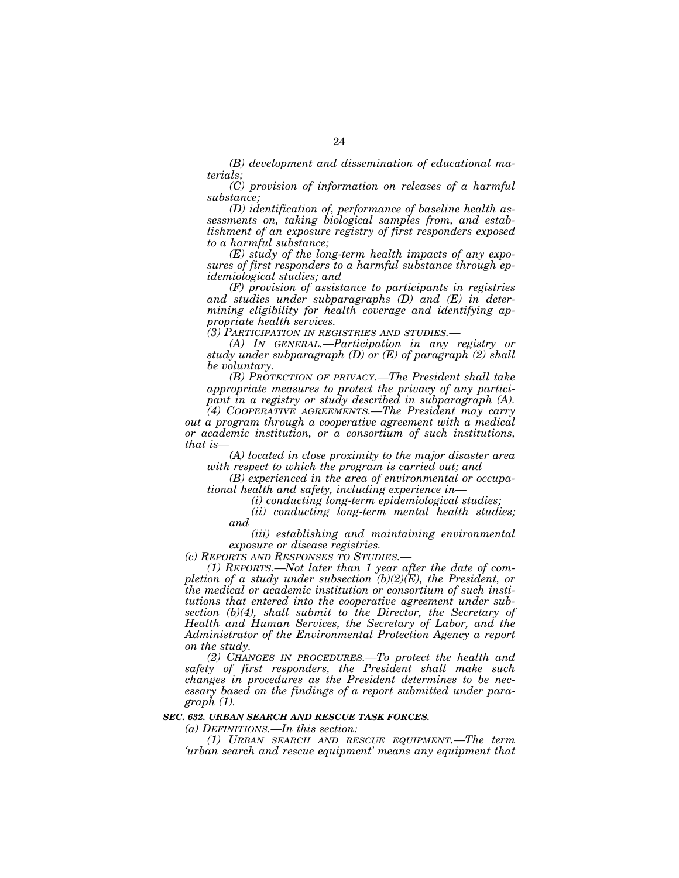*(B) development and dissemination of educational materials;* 

*(C) provision of information on releases of a harmful substance;* 

*(D) identification of, performance of baseline health assessments on, taking biological samples from, and establishment of an exposure registry of first responders exposed to a harmful substance;* 

*(E) study of the long-term health impacts of any exposures of first responders to a harmful substance through epidemiological studies; and* 

*(F) provision of assistance to participants in registries and studies under subparagraphs (D) and (E) in determining eligibility for health coverage and identifying appropriate health services.* 

*(3) PARTICIPATION IN REGISTRIES AND STUDIES.—*

*(A) IN GENERAL.—Participation in any registry or study under subparagraph (D) or (E) of paragraph (2) shall be voluntary.* 

*(B) PROTECTION OF PRIVACY.—The President shall take appropriate measures to protect the privacy of any participant in a registry or study described in subparagraph (A).* 

*(4) COOPERATIVE AGREEMENTS.—The President may carry out a program through a cooperative agreement with a medical or academic institution, or a consortium of such institutions, that is—*

*(A) located in close proximity to the major disaster area with respect to which the program is carried out; and* 

*(B) experienced in the area of environmental or occupational health and safety, including experience in—*

*(i) conducting long-term epidemiological studies;* 

*(ii) conducting long-term mental health studies; and* 

*(iii) establishing and maintaining environmental exposure or disease registries.* 

*(c) REPORTS AND RESPONSES TO STUDIES.—*

*(1) REPORTS.—Not later than 1 year after the date of completion of a study under subsection (b)(2)(E), the President, or the medical or academic institution or consortium of such institutions that entered into the cooperative agreement under subsection (b)(4), shall submit to the Director, the Secretary of Health and Human Services, the Secretary of Labor, and the Administrator of the Environmental Protection Agency a report on the study.* 

*(2) CHANGES IN PROCEDURES.—To protect the health and safety of first responders, the President shall make such changes in procedures as the President determines to be necessary based on the findings of a report submitted under paragraph (1).* 

#### *SEC. 632. URBAN SEARCH AND RESCUE TASK FORCES.*

*(a) DEFINITIONS.—In this section:* 

*(1) URBAN SEARCH AND RESCUE EQUIPMENT.—The term 'urban search and rescue equipment' means any equipment that*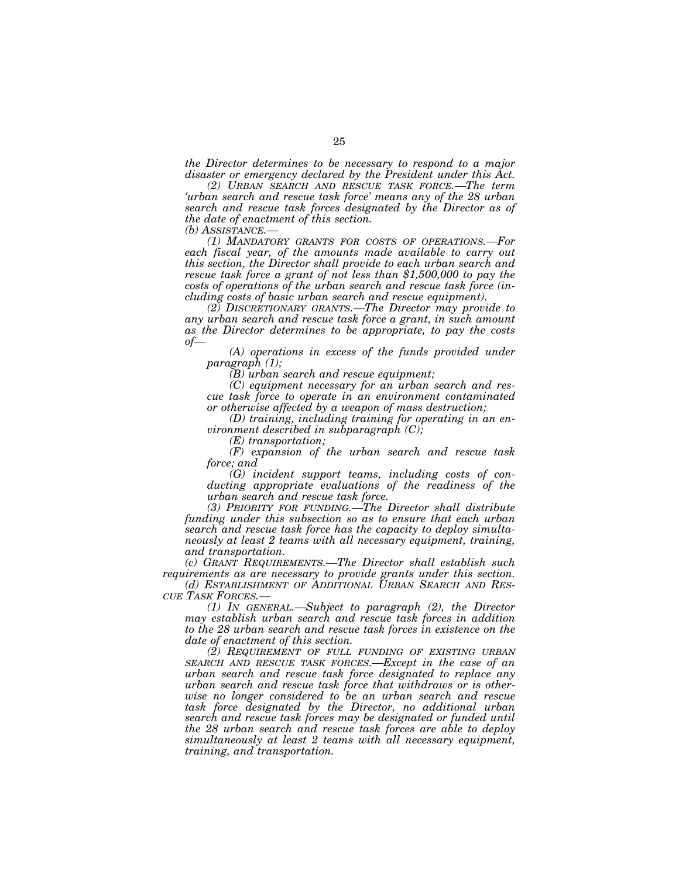*the Director determines to be necessary to respond to a major disaster or emergency declared by the President under this Act.* 

*(2) URBAN SEARCH AND RESCUE TASK FORCE.—The term 'urban search and rescue task force' means any of the 28 urban search and rescue task forces designated by the Director as of the date of enactment of this section.* 

*(b) ASSISTANCE.— (1) MANDATORY GRANTS FOR COSTS OF OPERATIONS.—For each fiscal year, of the amounts made available to carry out this section, the Director shall provide to each urban search and rescue task force a grant of not less than \$1,500,000 to pay the costs of operations of the urban search and rescue task force (including costs of basic urban search and rescue equipment).* 

*(2) DISCRETIONARY GRANTS.—The Director may provide to any urban search and rescue task force a grant, in such amount as the Director determines to be appropriate, to pay the costs of— (A) operations in excess of the funds provided under* 

*paragraph (1);* 

*(B) urban search and rescue equipment;* 

*(C) equipment necessary for an urban search and rescue task force to operate in an environment contaminated or otherwise affected by a weapon of mass destruction;* 

*(D) training, including training for operating in an environment described in subparagraph (C);* 

*(E) transportation;* 

*(F) expansion of the urban search and rescue task force; and* 

*(G) incident support teams, including costs of conducting appropriate evaluations of the readiness of the urban search and rescue task force.* 

*(3) PRIORITY FOR FUNDING.—The Director shall distribute funding under this subsection so as to ensure that each urban search and rescue task force has the capacity to deploy simultaneously at least 2 teams with all necessary equipment, training, and transportation.* 

*(c) GRANT REQUIREMENTS.—The Director shall establish such requirements as are necessary to provide grants under this section.* 

*(d) ESTABLISHMENT OF ADDITIONAL URBAN SEARCH AND RES- CUE TASK FORCES.—*

*(1) IN GENERAL.—Subject to paragraph (2), the Director may establish urban search and rescue task forces in addition to the 28 urban search and rescue task forces in existence on the date of enactment of this section.* 

*(2) REQUIREMENT OF FULL FUNDING OF EXISTING URBAN SEARCH AND RESCUE TASK FORCES.—Except in the case of an urban search and rescue task force designated to replace any urban search and rescue task force that withdraws or is otherwise no longer considered to be an urban search and rescue task force designated by the Director, no additional urban search and rescue task forces may be designated or funded until the 28 urban search and rescue task forces are able to deploy simultaneously at least 2 teams with all necessary equipment, training, and transportation.*